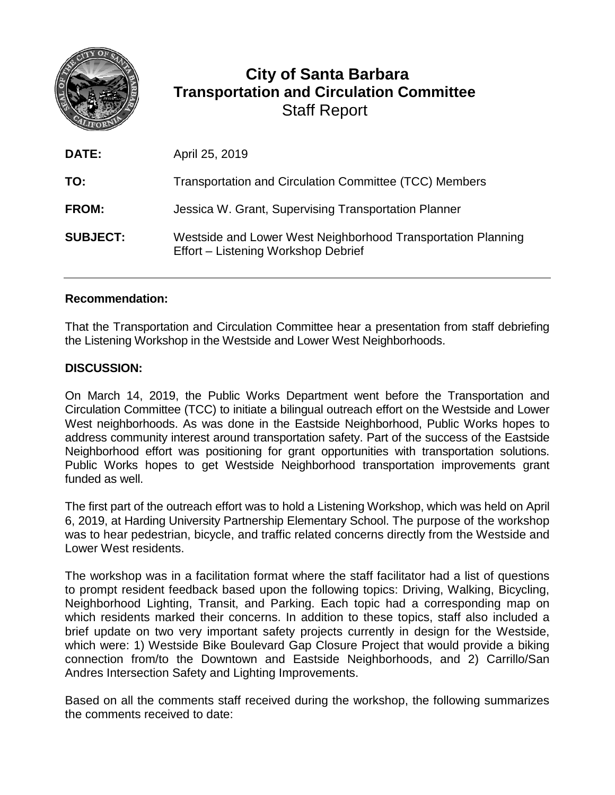

## **City of Santa Barbara Transportation and Circulation Committee** Staff Report

| <b>DATE:</b>    | April 25, 2019                                                                                      |
|-----------------|-----------------------------------------------------------------------------------------------------|
| TO:             | Transportation and Circulation Committee (TCC) Members                                              |
| <b>FROM:</b>    | Jessica W. Grant, Supervising Transportation Planner                                                |
| <b>SUBJECT:</b> | Westside and Lower West Neighborhood Transportation Planning<br>Effort - Listening Workshop Debrief |

## **Recommendation:**

That the Transportation and Circulation Committee hear a presentation from staff debriefing the Listening Workshop in the Westside and Lower West Neighborhoods.

## **DISCUSSION:**

On March 14, 2019, the Public Works Department went before the Transportation and Circulation Committee (TCC) to initiate a bilingual outreach effort on the Westside and Lower West neighborhoods. As was done in the Eastside Neighborhood, Public Works hopes to address community interest around transportation safety. Part of the success of the Eastside Neighborhood effort was positioning for grant opportunities with transportation solutions. Public Works hopes to get Westside Neighborhood transportation improvements grant funded as well.

The first part of the outreach effort was to hold a Listening Workshop, which was held on April 6, 2019, at Harding University Partnership Elementary School. The purpose of the workshop was to hear pedestrian, bicycle, and traffic related concerns directly from the Westside and Lower West residents.

The workshop was in a facilitation format where the staff facilitator had a list of questions to prompt resident feedback based upon the following topics: Driving, Walking, Bicycling, Neighborhood Lighting, Transit, and Parking. Each topic had a corresponding map on which residents marked their concerns. In addition to these topics, staff also included a brief update on two very important safety projects currently in design for the Westside, which were: 1) Westside Bike Boulevard Gap Closure Project that would provide a biking connection from/to the Downtown and Eastside Neighborhoods, and 2) Carrillo/San Andres Intersection Safety and Lighting Improvements.

Based on all the comments staff received during the workshop, the following summarizes the comments received to date: